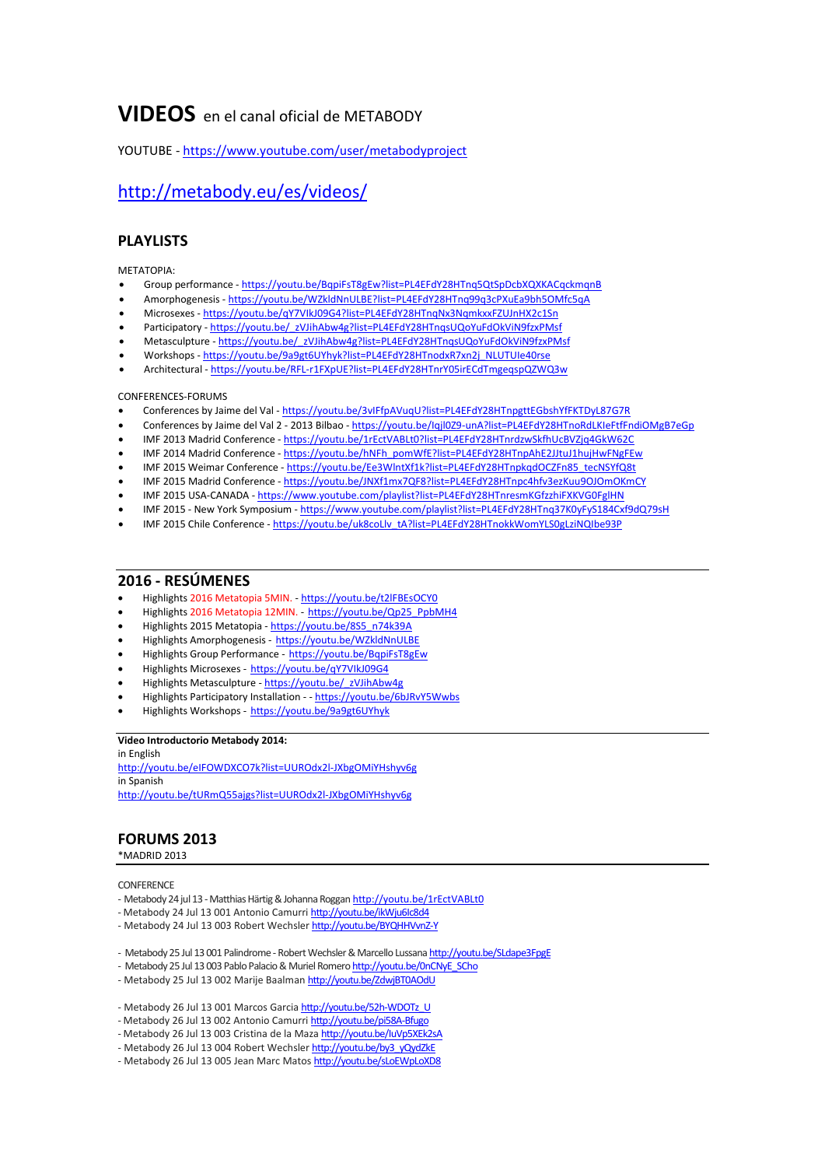# **VIDEOS** en el canal oficial de METABODY

YOUTUBE - <https://www.youtube.com/user/metabodyproject>

# <http://metabody.eu/es/videos/>

# **PLAYLISTS**

METATOPIA:

- Group performance <https://youtu.be/BqpiFsT8gEw?list=PL4EFdY28HTnq5QtSpDcbXQXKACqckmqnB>
- Amorphogenesis <https://youtu.be/WZkldNnULBE?list=PL4EFdY28HTnq99q3cPXuEa9bh5OMfc5qA>
- Microsexes <https://youtu.be/qY7VIkJ09G4?list=PL4EFdY28HTnqNx3NqmkxxFZUJnHX2c1Sn>
- Participatory [https://youtu.be/\\_zVJihAbw4g?list=PL4EFdY28HTnqsUQoYuFdOkViN9fzxPMsf](https://youtu.be/_zVJihAbw4g?list=PL4EFdY28HTnqsUQoYuFdOkViN9fzxPMsf)
- Metasculpture [https://youtu.be/\\_zVJihAbw4g?list=PL4EFdY28HTnqsUQoYuFdOkViN9fzxPMsf](https://youtu.be/_zVJihAbw4g?list=PL4EFdY28HTnqsUQoYuFdOkViN9fzxPMsf)
- Workshops [https://youtu.be/9a9gt6UYhyk?list=PL4EFdY28HTnodxR7xn2j\\_NLUTUIe40rse](https://youtu.be/9a9gt6UYhyk?list=PL4EFdY28HTnodxR7xn2j_NLUTUIe40rse)
- Architectural <https://youtu.be/RFL-r1FXpUE?list=PL4EFdY28HTnrY05irECdTmgeqspQZWQ3w>

## CONFERENCES-FORUMS

- Conferences by Jaime del Val <https://youtu.be/3vIFfpAVuqU?list=PL4EFdY28HTnpgttEGbshYfFKTDyL87G7R>
- Conferences by Jaime del Val 2 2013 Bilbao <https://youtu.be/Iqjl0Z9-unA?list=PL4EFdY28HTnoRdLKIeFtfFndiOMgB7eGp>
- IMF 2013 Madrid Conference <https://youtu.be/1rEctVABLt0?list=PL4EFdY28HTnrdzwSkfhUcBVZjq4GkW62C>
- IMF 2014 Madrid Conference [https://youtu.be/hNFh\\_pomWfE?list=PL4EFdY28HTnpAhE2JJtuJ1hujHwFNgFEw](https://youtu.be/hNFh_pomWfE?list=PL4EFdY28HTnpAhE2JJtuJ1hujHwFNgFEw)
- IMF 2015 Weimar Conference [https://youtu.be/Ee3WlntXf1k?list=PL4EFdY28HTnpkqdOCZFn85\\_tecNSYfQ8t](https://youtu.be/Ee3WlntXf1k?list=PL4EFdY28HTnpkqdOCZFn85_tecNSYfQ8t)
- IMF 2015 Madrid Conference <https://youtu.be/JNXf1mx7QF8?list=PL4EFdY28HTnpc4hfv3ezKuu9OJOmOKmCY>
- IMF 2015 USA-CANADA <https://www.youtube.com/playlist?list=PL4EFdY28HTnresmKGfzzhiFXKVG0FglHN>
- IMF 2015 New York Symposium <https://www.youtube.com/playlist?list=PL4EFdY28HTnq37K0yFyS184Cxf9dQ79sH>
- IMF 2015 Chile Conference [https://youtu.be/uk8coLlv\\_tA?list=PL4EFdY28HTnokkWomYLS0gLziNQIbe93P](https://youtu.be/uk8coLlv_tA?list=PL4EFdY28HTnokkWomYLS0gLziNQIbe93P)

# **2016 - RESÚMENES**

- Highlights 2016 Metatopia 5MIN. <https://youtu.be/t2lFBEsOCY0>
- Highlights 2016 Metatopia 12MIN. [https://youtu.be/Qp25\\_PpbMH4](https://youtu.be/Qp25_PpbMH4)
- Highlights 2015 Metatopia [https://youtu.be/8S5\\_n74k39A](https://youtu.be/8S5_n74k39A)
- Highlights Amorphogenesis <https://youtu.be/WZkldNnULBE>
- Highlights Group Performance <https://youtu.be/BqpiFsT8gEw>
- Highlights Microsexes <https://youtu.be/qY7VIkJ09G4>
- Highlights Metasculpture [https://youtu.be/\\_zVJihAbw4g](https://youtu.be/_zVJihAbw4g)
- Highlights Participatory Installation - <https://youtu.be/6bJRvY5Wwbs>
- Highlights Workshops <https://youtu.be/9a9gt6UYhyk>

## **Video Introductorio Metabody 2014:**

in English <http://youtu.be/eIFOWDXCO7k?list=UUROdx2l-JXbgOMiYHshyv6g> in Spanish <http://youtu.be/tURmQ55ajgs?list=UUROdx2l-JXbgOMiYHshyv6g>

# **FORUMS 2013**

\*MADRID 2013

## **CONFERENCE**

- Metabody 24 jul 13 Matthias Härtig & Johanna Roggan <http://youtu.be/1rEctVABLt0>
- Metabody 24 Jul 13 001 Antonio Camurri [http://youtu.be/ikWju6Ic8d4](http://youtu.be/ikWju6Ic8d4?list=UU1wVnLxWzsNAfzHpP3h7XWA)
- Metabody 24 Jul 13 003 Robert Wechsler [http://youtu.be/BYQHHVvnZ-Y](http://youtu.be/BYQHHVvnZ-Y?list=UU1wVnLxWzsNAfzHpP3h7XWA)
- Metabody25 Jul 13 001 Palindrome RobertWechsler&MarcelloLussana [http://youtu.be/SLdape3FpgE](http://youtu.be/SLdape3FpgE?list=UU1wVnLxWzsNAfzHpP3h7XWA)
- Metabody 25 Jul 13 003 Pablo Palacio & Muriel Romero http://youtu.be/0nCNyE\_SCho
- Metabody 25 Jul 13 002 Marije Baalman [http://youtu.be/ZdwjBT0AOdU](http://youtu.be/ZdwjBT0AOdU?list=UU1wVnLxWzsNAfzHpP3h7XWA)
- Metabody 26 Jul 13 001 Marcos Garcia [http://youtu.be/52h-WDOTz\\_U](http://youtu.be/52h-WDOTz_U?list=UU1wVnLxWzsNAfzHpP3h7XWA)
- Metabody 26 Jul 13 002 Antonio Camurri [http://youtu.be/pi58A-Bfugo](http://youtu.be/pi58A-Bfugo?list=UU1wVnLxWzsNAfzHpP3h7XWA)
- Metabody 26 Jul 13 003 Cristina de la Maza http://youtu.be/luVp5XEk2sA
- Metabody 26 Jul 13 004 Robert Wechsler [http://youtu.be/by3\\_yQydZkE](http://youtu.be/by3_yQydZkE?list=UU1wVnLxWzsNAfzHpP3h7XWA)
- Metabody 26 Jul 13 005 Jean Marc Matos [http://youtu.be/sLoEWpLoXD8](http://youtu.be/sLoEWpLoXD8?list=UU1wVnLxWzsNAfzHpP3h7XWA)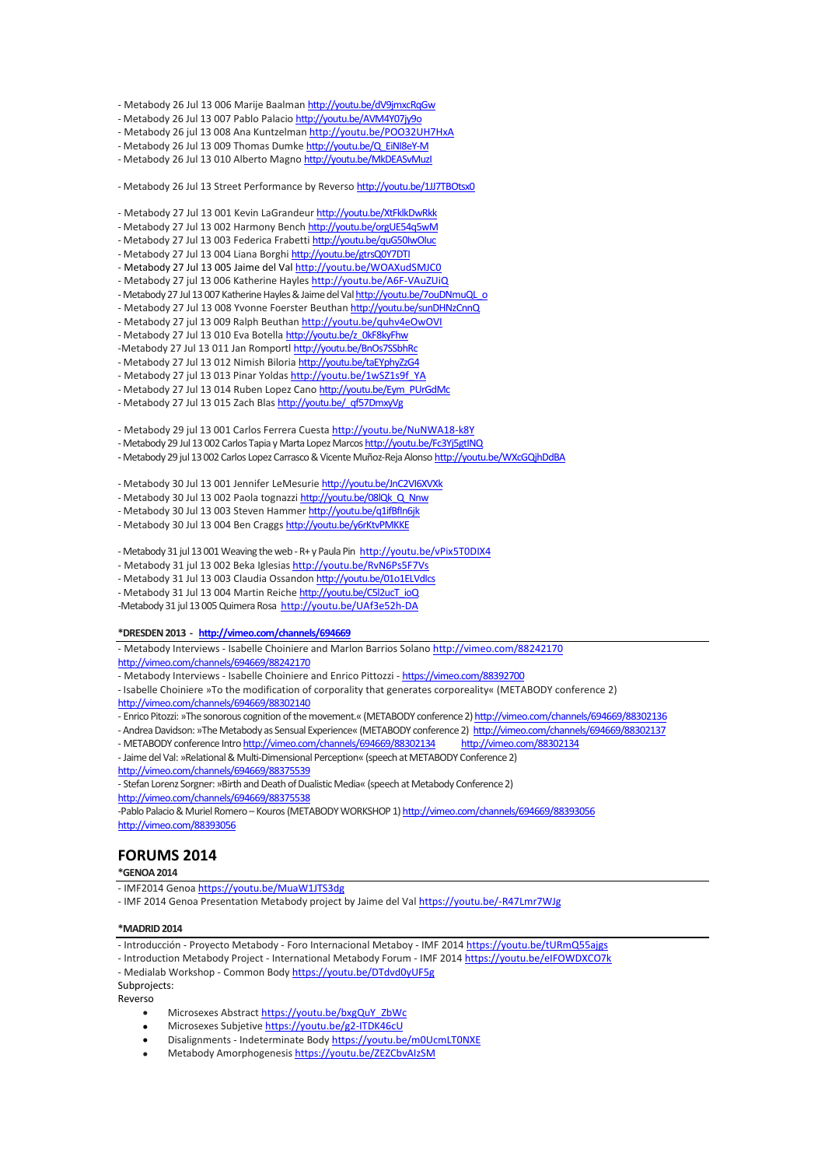- Metabody 26 Jul 13 006 Marije Baalman <http://youtu.be/dV9jmxcRqGw>

- Metabody 26 Jul 13 007 Pablo Palacio [http://youtu.be/AVM4Y07jy9o](http://youtu.be/AVM4Y07jy9o?list=UU1wVnLxWzsNAfzHpP3h7XWA)

- Metabody 26 jul 13 008 Ana Kuntzelman <http://youtu.be/POO32UH7HxA>

- Metabody 26 Jul 13 009 Thomas Dumke [http://youtu.be/Q\\_EiNI8eY-M](http://youtu.be/Q_EiNI8eY-M?list=UU1wVnLxWzsNAfzHpP3h7XWA)

- Metabody 26 Jul 13 010 Alberto Magno [http://youtu.be/MkDEASvMuzI](http://youtu.be/MkDEASvMuzI?list=UU1wVnLxWzsNAfzHpP3h7XWA)

- Metabody 26 Jul 13 Street Performance by Reverso [http://youtu.be/1JJ7TBOtsx0](http://youtu.be/1JJ7TBOtsx0?list=UU1wVnLxWzsNAfzHpP3h7XWA)

- Metabody 27 Jul 13 001 Kevin LaGrandeur <http://youtu.be/XtFklkDwRkk>
- Metabody 27 Jul 13 002 Harmony Bench <http://youtu.be/orgUE54q5wM>
- Metabody 27 Jul 13 003 Federica Frabetti http://youtu.be/quG50IwOluc
- Metabody 27 Jul 13 004 Liana Borghi <http://youtu.be/gtrsQ0Y7DTI>
- Metabody 27 Jul 13 005 Jaime del Va[l http://youtu.be/WOAXudSMJC0](http://youtu.be/WOAXudSMJC0)
- Metabody 27 jul 13 006 Katherine Hayles <http://youtu.be/A6F-VAuZUiQ>
- Metabody 27 Jul 13 007 Katherine Hayles & Jaime del Val http://youtu.be/7ouDNmuQL\_o
- Metabody 27 Jul 13 008 Yvonne Foerster Beuthan [http://youtu.be/sunDHNzCnnQ](http://youtu.be/sunDHNzCnnQ?list=UU1wVnLxWzsNAfzHpP3h7XWA)
- Metabody 27 jul 13 009 Ralph Beuthan <http://youtu.be/quhv4eOwOVI> - Metabody 27 Jul 13 010 Eva Botella [http://youtu.be/z\\_0kF8kyFhw](http://youtu.be/z_0kF8kyFhw?list=UU1wVnLxWzsNAfzHpP3h7XWA)

- -Metabody 27 Jul 13 011 Jan Romportl [http://youtu.be/BnOs7SSbhRc](http://youtu.be/BnOs7SSbhRc?list=UU1wVnLxWzsNAfzHpP3h7XWA) - Metabody 27 Jul 13 012 Nimish Biloria [http://youtu.be/taEYphyZzG4](http://youtu.be/taEYphyZzG4?list=UU1wVnLxWzsNAfzHpP3h7XWA)
- Metabody 27 jul 13 013 Pinar Yoldas [http://youtu.be/1wSZ1s9f\\_YA](http://youtu.be/1wSZ1s9f_YA)
- Metabody 27 Jul 13 014 Ruben Lopez Cano [http://youtu.be/Eym\\_PUrGdMc](http://youtu.be/Eym_PUrGdMc)
- Metabody 27 Jul 13 015 Zach Blas [http://youtu.be/\\_qf57DmxyVg](http://youtu.be/_qf57DmxyVg)
- 

- Metabody 29 jul 13 001 Carlos Ferrera Cuesta <http://youtu.be/NuNWA18-k8Y>

- Metabody 29 Jul 13 002 Carlos Tapia y Marta Lopez Marcos <http://youtu.be/Fc3Yj5gtINQ>
- -Metabody 29 jul 13 002 Carlos Lopez Carrasco & Vicente Muñoz-Reja Alonso http://youtu.be/WXcGQihDdBA

- Metabody 30 Jul 13 001 Jennifer LeMesurie <http://youtu.be/JnC2VI6XVXk>

- Metabody 30 Jul 13 002 Paola tognazzi http://youtu.be/08lQk Q\_Nnw

- Metabody 30 Jul 13 003 Steven Hammer <http://youtu.be/q1ifBfIn6jk>

- Metabody 30 Jul 13 004 Ben Craggs [http://youtu.be/y6rKtvPMKKE](http://youtu.be/y6rKtvPMKKE?list=UU1wVnLxWzsNAfzHpP3h7XWA)

- Metabody 31 jul 13 001 Weaving the web - R+ y Paula Pin <http://youtu.be/vPix5T0DIX4>

- Metabody 31 jul 13 002 Beka Iglesias <http://youtu.be/RvN6Ps5F7Vs>

- Metabody 31 Jul 13 003 Claudia Ossandon http://youtu.be/01o1ELVdlcs

- Metabody 31 Jul 13 004 Martin Reiche [http://youtu.be/C5l2ucT\\_ioQ](http://youtu.be/C5l2ucT_ioQ)

-Metabody 31 jul 13 005 Quimera Rosa<http://youtu.be/UAf3e52h-DA>

#### **\*DRESDEN2013 - <http://vimeo.com/channels/694669>**

- Metabody Interviews - Isabelle Choiniere and Marlon Barrios Solano <http://vimeo.com/88242170>

<http://vimeo.com/channels/694669/88242170>

- Metabody Interviews - Isabelle Choiniere and Enrico Pittozzi - <https://vimeo.com/88392700>

- Isabelle Choiniere »To the modification of corporality that generates corporeality« (METABODY conference 2) <http://vimeo.com/channels/694669/88302140>
- Enrico Pitozzi: »The sonorous cognition of the movement.« (METABODY conference 2) http://vimeo.com/channels/694669/88302136
- Andrea Davidson: »The Metabody as Sensual Experience« (METABODY conference 2) <http://vimeo.com/channels/694669/88302137>
- METABODY conference Intr[ohttp://vimeo.com/channels/694669/88302134](http://vimeo.com/channels/694669/88302134) <http://vimeo.com/88302134>

- Jaime del Val: »Relational & Multi-Dimensional Perception« (speech at METABODY Conference 2) <http://vimeo.com/channels/694669/88375539>

- Stefan Lorenz Sorgner: »Birth and Death of Dualistic Media« (speech at Metabody Conference 2) <http://vimeo.com/channels/694669/88375538>

-<br>Pablo Palacio & Muriel Romero – Kouros (METABODY WORKSHOP 1) http://vimeo.com/channels/694669/88393056 <http://vimeo.com/88393056>

# **FORUMS 2014**

## **\*GENOA2014**

- IMF2014 Genoa <https://youtu.be/MuaW1JTS3dg>

- IMF 2014 Genoa Presentation Metabody project by Jaime del Va[l https://youtu.be/-R47Lmr7WJg](https://youtu.be/-R47Lmr7WJg)

#### **\*MADRID2014**

- Introducción - Proyecto Metabody - Foro Internacional Metaboy - IMF 201[4 https://youtu.be/tURmQ55ajgs](https://youtu.be/tURmQ55ajgs)

- Introduction Metabody Project - International Metabody Forum - IMF 2014 <https://youtu.be/eIFOWDXCO7k>

- Medialab Workshop - Common Bod[y https://youtu.be/DTdvd0yUF5g](https://youtu.be/DTdvd0yUF5g)

Subprojects:

Reverso

- Microsexes Abstrac[t https://youtu.be/bxgQuY\\_ZbWc](https://youtu.be/bxgQuY_ZbWc)
- Microsexes Subjetive <https://youtu.be/g2-ITDK46cU>
- Disalignments Indeterminate Body <https://youtu.be/m0UcmLT0NXE>
- Metabody Amorphogenesi[s https://youtu.be/ZEZCbvAIzSM](https://youtu.be/ZEZCbvAIzSM)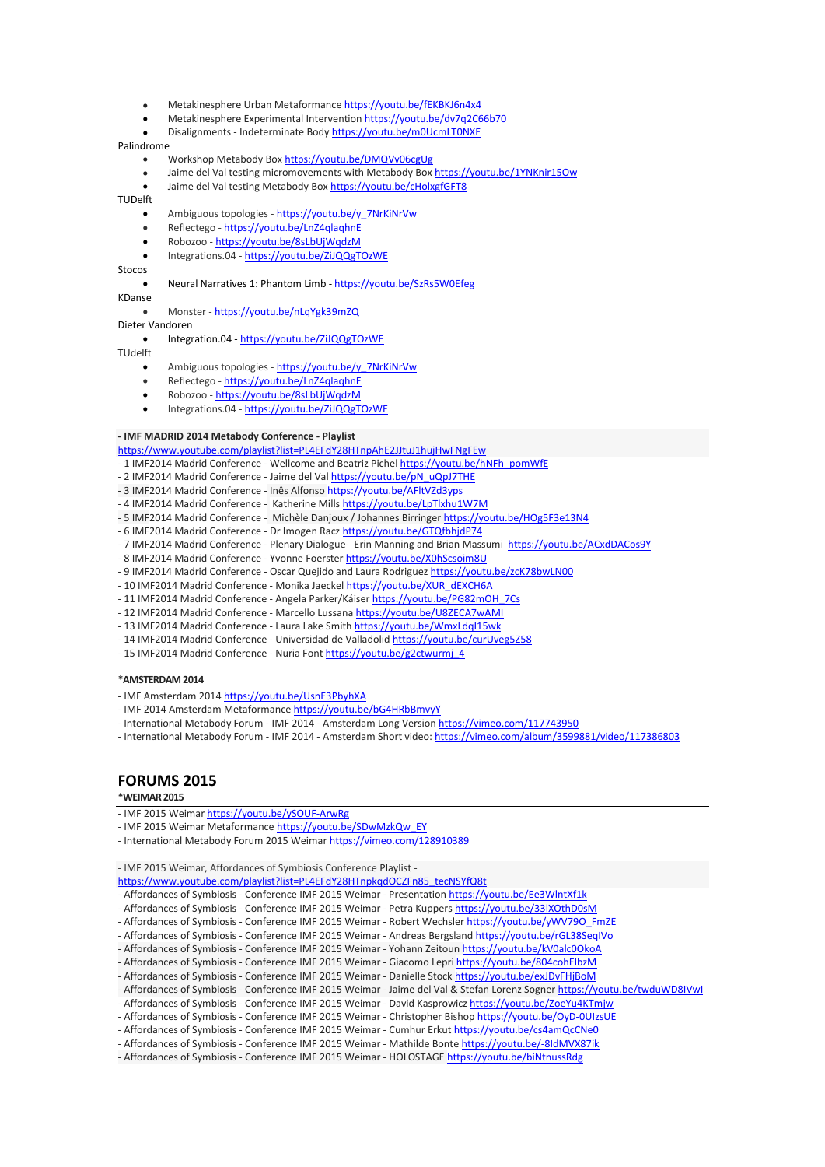- Metakinesphere Urban Metaformanc[e https://youtu.be/fEKBKJ6n4x4](https://youtu.be/fEKBKJ6n4x4)
- Metakinesphere Experimental Interventio[n https://youtu.be/dv7q2C66b70](https://youtu.be/dv7q2C66b70)
- Disalignments Indeterminate Body <https://youtu.be/m0UcmLT0NXE>

#### Palindrome

- Workshop Metabody Box <https://youtu.be/DMQVv06cgUg>
- Jaime del Val testing micromovements with Metabody Box <https://youtu.be/1YNKnir15Ow>
- Jaime del Val testing Metabody Box <https://youtu.be/cHolxgfGFT8>

#### TUDelft

- Ambiguous topologies [https://youtu.be/y\\_7NrKiNrVw](https://youtu.be/y_7NrKiNrVw)
- Reflectego <https://youtu.be/LnZ4qlaqhnE>
- Robozoo <https://youtu.be/8sLbUjWqdzM>
- Integrations.04 <https://youtu.be/ZiJQQgTOzWE>
- Stocos

### Neural Narratives 1: Phantom Limb - <https://youtu.be/SzRs5W0Efeg>

- KDanse
	- Monster <https://youtu.be/nLqYgk39mZQ>
- Dieter Vandoren
	- Integration.04 <https://youtu.be/ZiJQQgTOzWE>
- TUdelft
	- Ambiguous topologies [https://youtu.be/y\\_7NrKiNrVw](https://youtu.be/y_7NrKiNrVw)
	- Reflectego <https://youtu.be/LnZ4qlaqhnE>
	- Robozoo <https://youtu.be/8sLbUjWqdzM>
	- Integrations.04 <https://youtu.be/ZiJQQgTOzWE>

#### **- IMF MADRID 2014 Metabody Conference - Playlist**

- <https://www.youtube.com/playlist?list=PL4EFdY28HTnpAhE2JJtuJ1hujHwFNgFEw>
- 1 IMF2014 Madrid Conference Wellcome and Beatriz Pichel https://youtu.be/hNFh\_pomWfE
- 2 IMF2014 Madrid Conference Jaime del Val https://youtu.be/pN\_uQpJ7THE
- 3 IMF2014 Madrid Conference Inês Alfonso https://youtu.be/AFltVZd3yps
- 4 IMF2014 Madrid Conference Katherine Mills https://youtu.be/LpTlxhu1W7M
- 5 IMF2014 Madrid Conference Michèle Danjoux / Johannes Birringer https://youtu.be/HOg5F3e13N4
- 6 IMF2014 Madrid Conference Dr Imogen Racz https://youtu.be/GTQfbhjdP74
- 7 IMF2014 Madrid Conference Plenary Dialogue- Erin Manning and Brian Massumi https://youtu.be/ACxdDACos9Y
- 8 IMF2014 Madrid Conference Yvonne Foerster https://youtu.be/X0hScsoim8U
- 9 IMF2014 Madrid Conference Oscar Quejido and Laura Rodriguez https://youtu.be/zcK78bwLN00
- 10 IMF2014 Madrid Conference Monika Jaeckel https://youtu.be/XUR\_dEXCH6A
- 11 IMF2014 Madrid Conference Angela Parker/Káiser https://youtu.be/PG82mOH\_7Cs
- 12 IMF2014 Madrid Conference Marcello Lussana https://youtu.be/U8ZECA7wAMI
- 13 IMF2014 Madrid Conference Laura Lake Smith https://youtu.be/WmxLdqI15wk
- 14 IMF2014 Madrid Conference Universidad de Valladolid https://youtu.be/curUveg5Z58
- 15 IMF2014 Madrid Conference Nuria Font https://youtu.be/g2ctwurmj\_4

#### **\*AMSTERDAM2014**

- IMF Amsterdam 201[4 https://youtu.be/UsnE3PbyhXA](https://youtu.be/UsnE3PbyhXA)
- IMF 2014 Amsterdam Metaformanc[e https://youtu.be/bG4HRbBmvyY](https://youtu.be/bG4HRbBmvyY)
- International Metabody Forum IMF 2014 Amsterdam Long Versio[n https://vimeo.com/117743950](https://vimeo.com/117743950)
- International Metabody Forum IMF 2014 Amsterdam Short video[: https://vimeo.com/album/3599881/video/117386803](https://vimeo.com/album/3599881/video/117386803)

## **FORUMS 2015**

### **\*WEIMAR2015**

- IMF 2015 Weima[r https://youtu.be/ySOUF-ArwRg](https://youtu.be/ySOUF-ArwRg)
- IMF 2015 Weimar Metaformanc[e https://youtu.be/SDwMzkQw\\_EY](https://youtu.be/SDwMzkQw_EY)
- International Metabody Forum 2015 Weima[r https://vimeo.com/128910389](https://vimeo.com/128910389)

- IMF 2015 Weimar, Affordances of Symbiosis Conference Playlist -

[https://www.youtube.com/playlist?list=PL4EFdY28HTnpkqdOCZFn85\\_tecNSYfQ8t](https://www.youtube.com/playlist?list=PL4EFdY28HTnpkqdOCZFn85_tecNSYfQ8t)

- Affordances of Symbiosis Conference IMF 2015 Weimar [Presentation](https://www.youtube.com/watch?v=Ee3WlntXf1k) [https://youtu.be/Ee3WlntXf1k](https://youtu.be/Ee3WlntXf1k?list=PL4EFdY28HTnpkqdOCZFn85_tecNSYfQ8t)
- Affordances of Symbiosis Conference IMF 2015 Weimar Petra Kuppers [https://youtu.be/33lXOthD0sM](https://youtu.be/33lXOthD0sM?list=PL4EFdY28HTnpkqdOCZFn85_tecNSYfQ8t)
- Affordances of Symbiosis Conference IMF 2015 Weimar Robert Wechsler [https://youtu.be/yWV79O\\_FmZE](https://youtu.be/yWV79O_FmZE?list=PL4EFdY28HTnpkqdOCZFn85_tecNSYfQ8t)
- Affordances of Symbiosis Conference IMF 2015 Weimar Andreas Bergsland [https://youtu.be/rGL38SeqIVo](https://youtu.be/rGL38SeqIVo?list=PL4EFdY28HTnpkqdOCZFn85_tecNSYfQ8t)
- Affordances of Symbiosis Conference IMF 2015 Weimar Yohann Zeitoun [https://youtu.be/kV0alc0OkoA](https://youtu.be/kV0alc0OkoA?list=PL4EFdY28HTnpkqdOCZFn85_tecNSYfQ8t)
- Affordances of Symbiosis Conference IMF 2015 Weimar Giacomo Lepri [https://youtu.be/804cohElbzM](https://youtu.be/804cohElbzM?list=PL4EFdY28HTnpkqdOCZFn85_tecNSYfQ8t)
- Affordances of Symbiosis Conference IMF 2015 Weimar Danielle Stock [https://youtu.be/exJDvFHjBoM](https://youtu.be/exJDvFHjBoM?list=PL4EFdY28HTnpkqdOCZFn85_tecNSYfQ8t)
- Affordances of Symbiosis Conference IMF 2015 Weimar Jaime del Val & Stefan Lorenz Sogner [https://youtu.be/twduWD8IVwI](https://youtu.be/twduWD8IVwI?list=PL4EFdY28HTnpkqdOCZFn85_tecNSYfQ8t)
- Affordances of Symbiosis Conference IMF 2015 Weimar David Kasprowicz [https://youtu.be/ZoeYu4KTmjw](https://youtu.be/ZoeYu4KTmjw?list=PL4EFdY28HTnpkqdOCZFn85_tecNSYfQ8t)
- Affordances of Symbiosis Conference IMF 2015 Weimar Christopher Bishop [https://youtu.be/OyD-0UIzsUE](https://youtu.be/OyD-0UIzsUE?list=PL4EFdY28HTnpkqdOCZFn85_tecNSYfQ8t)
- Affordances of Symbiosis Conference IMF 2015 Weimar Cumhur Erkut [https://youtu.be/cs4amQcCNe0](https://youtu.be/cs4amQcCNe0?list=PL4EFdY28HTnpkqdOCZFn85_tecNSYfQ8t)
- Affordances of Symbiosis Conference IMF 2015 Weimar Mathilde Bonte [https://youtu.be/-8IdMVX87ik](https://youtu.be/-8IdMVX87ik?list=PL4EFdY28HTnpkqdOCZFn85_tecNSYfQ8t) - Affordances of Symbiosis - Conference IMF 2015 Weimar - HOLOSTAGE [https://youtu.be/biNtnussRdg](https://youtu.be/biNtnussRdg?list=PL4EFdY28HTnpkqdOCZFn85_tecNSYfQ8t)
-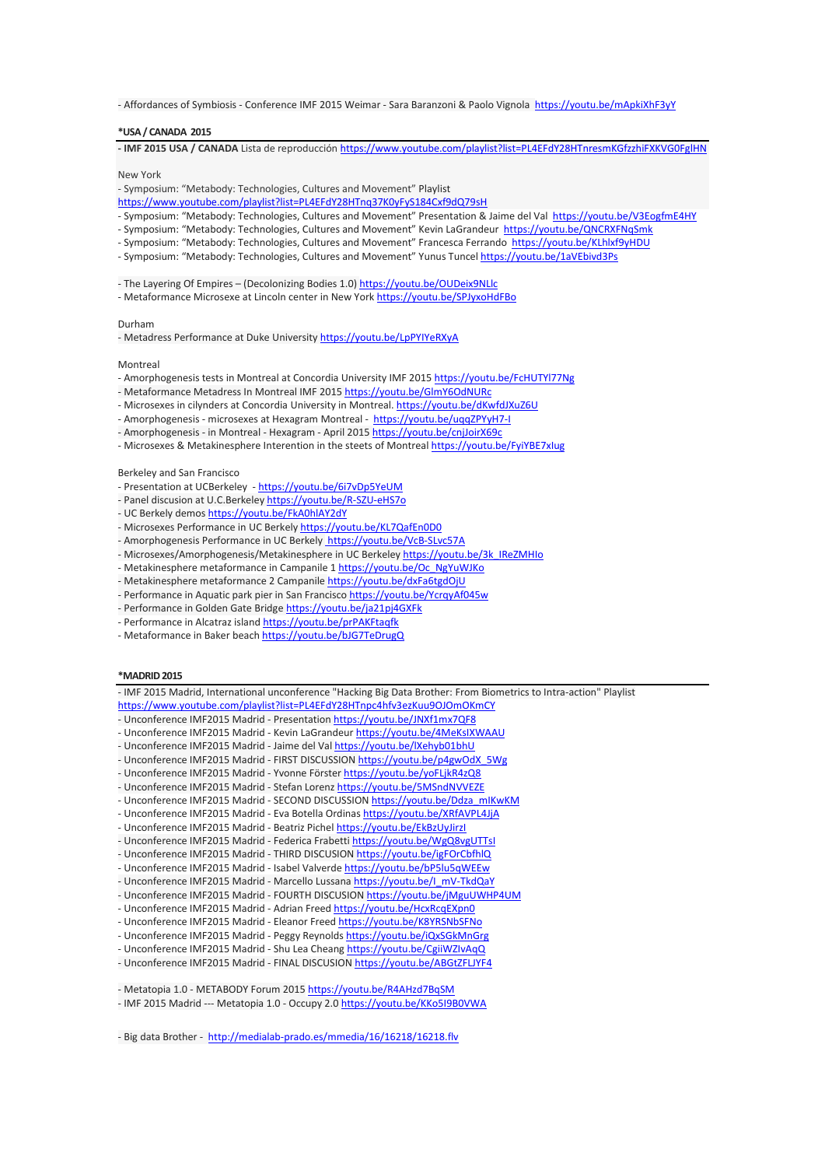- Affordances of Symbiosis - Conference IMF 2015 Weimar - Sara Baranzoni & Paolo Vignola [https://youtu.be/mApkiXhF3yY](https://youtu.be/mApkiXhF3yY?list=PL4EFdY28HTnpkqdOCZFn85_tecNSYfQ8t)

#### **\*USA/ CANADA 2015**

**- IMF 2015 USA / CANADA** Lista de reproducció[n https://www.youtube.com/playlist?list=PL4EFdY28HTnresmKGfzzhiFXKVG0FglHN](https://www.youtube.com/playlist?list=PL4EFdY28HTnresmKGfzzhiFXKVG0FglHN)

New York

- Symposium: "Metabody: Technologies, Cultures and Movement" Playlist

- <https://www.youtube.com/playlist?list=PL4EFdY28HTnq37K0yFyS184Cxf9dQ79sH>
- Symposium: "Metabody: Technologies, Cultures and Movement" Presentation & Jaime del Val [https://youtu.be/V3EogfmE4HY](https://youtu.be/V3EogfmE4HY?list=PL4EFdY28HTnq37K0yFyS184Cxf9dQ79sH)
- Symposium: "Metabody: Technologies, Cultures and Movement" Kevin LaGrandeur [https://youtu.be/QNCRXFNqSmk](https://youtu.be/QNCRXFNqSmk?list=PL4EFdY28HTnq37K0yFyS184Cxf9dQ79sH)
- Symposium: "Metabody: Technologies, Cultures and Movement" Francesca Ferrando [https://youtu.be/KLhlxf9yHDU](https://youtu.be/KLhlxf9yHDU?list=PL4EFdY28HTnq37K0yFyS184Cxf9dQ79sH)
- Symposium: "Metabody: Technologies, Cultures and Movement" Yunus Tuncel [https://youtu.be/1aVEbivd3Ps](https://youtu.be/1aVEbivd3Ps?list=PL4EFdY28HTnq37K0yFyS184Cxf9dQ79sH)
- The Layering Of Empires (Decolonizing Bodies 1.0) [https://youtu.be/OUDeix9NLlc](https://youtu.be/OUDeix9NLlc?list=PL4EFdY28HTnresmKGfzzhiFXKVG0FglHN)
- Metaformance Microsexe at Lincoln center in New York https://youtu.be/SPJyxoHdFBo

Durham

- Metadress Performance at Duke University https://youtu.be/LpPYIYeRXyA

#### **Montreal**

- Amorphogenesis tests in Montreal at Concordia University IMF 2015 https://youtu.be/FcHUTYl77Ng
- Metaformance Metadress In Montreal IMF 2015 https://youtu.be/GlmY6OdNURc
- Microsexes in cilynders at Concordia University in Montreal. https://youtu.be/dKwfdJXuZ6U
- Amorphogenesis microsexes at Hexagram Montreal https://youtu.be/uqqZPYyH7-I
- Amorphogenesis in Montreal Hexagram April 2015 https://youtu.be/cnjJoirX69c
- Microsexes & Metakinesphere Interention in the steets of Montreal https://youtu.be/FyiYBE7xlug

#### Berkeley and San Francisco

- Presentation at UCBerkeley <https://youtu.be/6i7vDp5YeUM>
- Panel discusion at U.C.Berkeley https://youtu.be/R-SZU-eHS7o
- UC Berkely demos https://youtu.be/FkA0hlAY2dY
- Microsexes Performance in UC Berkely https://youtu.be/KL7QafEn0D0
- Amorphogenesis Performance in UC Berkely https://youtu.be/VcB-SLvc57A
- Microsexes/Amorphogenesis/Metakinesphere in UC Berkeley https://youtu.be/3k\_IReZMHIo
- Metakinesphere metaformance in Campanile 1 https://youtu.be/Oc\_NgYuWJKo
- Metakinesphere metaformance 2 Campanile https://youtu.be/dxFa6tgdOjU
- Performance in Aquatic park pier in San Francisco https://youtu.be/YcrqyAf045w
- Performance in Golden Gate Bridge https://youtu.be/ja21pj4GXFk
- Performance in Alcatraz island https://youtu.be/prPAKFtaqfk
- Metaformance in Baker beach https://youtu.be/bJG7TeDrugQ

#### **\*MADRID2015**

- IMF 2015 Madrid, International unconference "Hacking Big Data Brother: From Biometrics to Intra-action" Playlist <https://www.youtube.com/playlist?list=PL4EFdY28HTnpc4hfv3ezKuu9OJOmOKmCY> - Unconference IMF2015 Madrid - Presentation [https://youtu.be/JNXf1mx7QF8](https://youtu.be/JNXf1mx7QF8?list=PL4EFdY28HTnpc4hfv3ezKuu9OJOmOKmCY) - Unconference IMF2015 Madrid - Kevin LaGrandeur [https://youtu.be/4MeKsIXWAAU](https://youtu.be/4MeKsIXWAAU?list=PL4EFdY28HTnpc4hfv3ezKuu9OJOmOKmCY) - Unconference IMF2015 Madrid - Jaime del Val [https://youtu.be/lXehyb01bhU](https://youtu.be/lXehyb01bhU?list=PL4EFdY28HTnpc4hfv3ezKuu9OJOmOKmCY) - Unconference IMF2015 Madrid - FIRST DISCUSSION [https://youtu.be/p4gwOdX\\_5Wg](https://youtu.be/p4gwOdX_5Wg?list=PL4EFdY28HTnpc4hfv3ezKuu9OJOmOKmCY) - Unconference IMF2015 Madrid - Yvonne Förster [https://youtu.be/yoFLjkR4zQ8](https://youtu.be/yoFLjkR4zQ8?list=PL4EFdY28HTnpc4hfv3ezKuu9OJOmOKmCY) - Unconference IMF2015 Madrid - Stefan Lorenz [https://youtu.be/5MSndNVVEZE](https://youtu.be/5MSndNVVEZE?list=PL4EFdY28HTnpc4hfv3ezKuu9OJOmOKmCY) - Unconference IMF2015 Madrid - SECOND DISCUSSION [https://youtu.be/Ddza\\_mIKwKM](https://youtu.be/Ddza_mIKwKM?list=PL4EFdY28HTnpc4hfv3ezKuu9OJOmOKmCY) - Unconference IMF2015 Madrid - Eva Botella Ordinas [https://youtu.be/XRfAVPL4JjA](https://youtu.be/XRfAVPL4JjA?list=PL4EFdY28HTnpc4hfv3ezKuu9OJOmOKmCY) - Unconference IMF2015 Madrid - Beatriz Pichel [https://youtu.be/EkBzUyJirzI](https://youtu.be/EkBzUyJirzI?list=PL4EFdY28HTnpc4hfv3ezKuu9OJOmOKmCY) - Unconference IMF2015 Madrid - Federica Frabetti [https://youtu.be/WgQ8vgUTTsI](https://youtu.be/WgQ8vgUTTsI?list=PL4EFdY28HTnpc4hfv3ezKuu9OJOmOKmCY) - Unconference IMF2015 Madrid - THIRD DISCUSION [https://youtu.be/igFOrCbfhlQ](https://youtu.be/igFOrCbfhlQ?list=PL4EFdY28HTnpc4hfv3ezKuu9OJOmOKmCY) - Unconference IMF2015 Madrid - Isabel Valverde [https://youtu.be/bP5lu5qWEEw](https://youtu.be/bP5lu5qWEEw?list=PL4EFdY28HTnpc4hfv3ezKuu9OJOmOKmCY) - Unconference IMF2015 Madrid - Marcello Lussana [https://youtu.be/I\\_mV-TkdQaY](https://youtu.be/I_mV-TkdQaY?list=PL4EFdY28HTnpc4hfv3ezKuu9OJOmOKmCY) - Unconference IMF2015 Madrid - FOURTH DISCUSION [https://youtu.be/jMguUWHP4UM](https://youtu.be/jMguUWHP4UM?list=PL4EFdY28HTnpc4hfv3ezKuu9OJOmOKmCY) - Unconference IMF2015 Madrid - Adrian Freed [https://youtu.be/HcxRcqEXpn0](https://youtu.be/HcxRcqEXpn0?list=PL4EFdY28HTnpc4hfv3ezKuu9OJOmOKmCY) - Unconference IMF2015 Madrid - Eleanor Freed [https://youtu.be/K8YRSNbSFNo](https://youtu.be/K8YRSNbSFNo?list=PL4EFdY28HTnpc4hfv3ezKuu9OJOmOKmCY) - Unconference IMF2015 Madrid - Peggy Reynolds [https://youtu.be/iQxSGkMnGrg](https://youtu.be/iQxSGkMnGrg?list=PL4EFdY28HTnpc4hfv3ezKuu9OJOmOKmCY) - Unconference IMF2015 Madrid - Shu Lea Cheang [https://youtu.be/CgiiWZIvAqQ](https://youtu.be/CgiiWZIvAqQ?list=PL4EFdY28HTnpc4hfv3ezKuu9OJOmOKmCY) - Unconference IMF2015 Madrid - FINAL DISCUSION [https://youtu.be/ABGtZFLJYF4](https://youtu.be/ABGtZFLJYF4?list=PL4EFdY28HTnpc4hfv3ezKuu9OJOmOKmCY) - Metatopia 1.0 - [METABODY](https://www.youtube.com/watch?v=R4AHzd7BqSM) Forum 2015 <https://youtu.be/R4AHzd7BqSM> - IMF 2015 Madrid --- [Metatopia](https://www.youtube.com/watch?v=KKo5I9B0VWA) 1.0 - Occupy 2.0 <https://youtu.be/KKo5I9B0VWA>

- Big data Brother -<http://medialab-prado.es/mmedia/16/16218/16218.flv>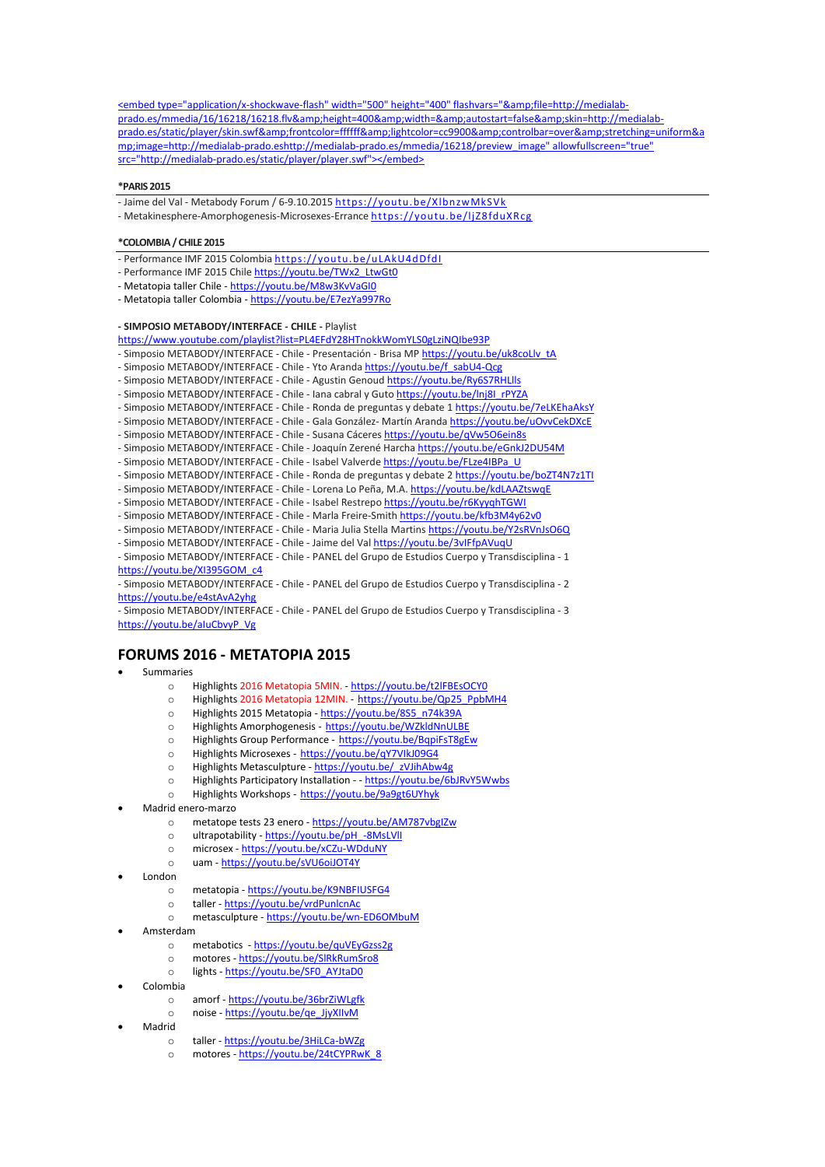<embed type="application/x-shockwave-flash" width="500" height="400" flashvars="&amp;file=http://medialabprado.es/mmedia/16/16218/16218.flv&height=400&width=&autostart=false&skin=http://medialabprado.es/static/player/skin.swf&frontcolor=ffffff&lightcolor=cc9900&controlbar=over&stretching=uniform&a mp;image=http://medialab-prado.eshttp://medialab-prado.es/mmedia/16218/preview\_image" allowfullscreen="true" src="http://medialab-prado.es/static/player/player.swf"></embed>

#### **\*PARIS 2015**

- Jaime del Val - Metabody Forum / [6-9.10.2015](https://www.youtube.com/watch?v=XlbnzwMkSVk) <https://youtu.be/XlbnzwMkSVk> - [Metakinesphere-Amorphogenesis-Microsexes-Errance](https://www.youtube.com/watch?v=ljZ8fduXRcg) <https://youtu.be/ljZ8fduXRcg>

#### **\*COLOMBIA/ CHILE 2015**

- [Performance](https://www.youtube.com/watch?v=uLAkU4dDfdI) IMF 2015 Colombia <https://youtu.be/uLAkU4dDfdI>
- [Performance](https://www.youtube.com/watch?v=uLAkU4dDfdI) IMF 2015 Chile [https://youtu.be/TWx2\\_LtwGt0](https://youtu.be/TWx2_LtwGt0)
- Metatopia taller Chile <https://youtu.be/M8w3KvVaGI0>
- Metatopia taller Colombia <https://youtu.be/E7ezYa997Ro>

## **- SIMPOSIO METABODY/INTERFACE - CHILE -** Playlist

<https://www.youtube.com/playlist?list=PL4EFdY28HTnokkWomYLS0gLziNQIbe93P> - Simposio METABODY/INTERFACE - Chile - Presentación - Brisa MP [https://youtu.be/uk8coLlv\\_tA](https://youtu.be/uk8coLlv_tA?list=PL4EFdY28HTnokkWomYLS0gLziNQIbe93P) - Simposio METABODY/INTERFACE - Chile - Yto Aranda [https://youtu.be/f\\_sabU4-Qcg](https://youtu.be/f_sabU4-Qcg?list=PL4EFdY28HTnokkWomYLS0gLziNQIbe93P) Simposio METABODY/INTERFACE - Chile - Agustin Genoud [https://youtu.be/Ry6S7RHLlls](https://youtu.be/Ry6S7RHLlls?list=PL4EFdY28HTnokkWomYLS0gLziNQIbe93P) - Simposio METABODY/INTERFACE - Chile - Iana cabral y Guto https://youtu.be/Inj8I\_rPYZA - Simposio METABODY/INTERFACE - Chile - Ronda de preguntas y debate 1 [https://youtu.be/7eLKEhaAksY](https://youtu.be/7eLKEhaAksY?list=PL4EFdY28HTnokkWomYLS0gLziNQIbe93P) Simposio METABODY/INTERFACE - Chile - Gala González- Martín Aranda [https://youtu.be/uOvvCekDXcE](https://youtu.be/uOvvCekDXcE?list=PL4EFdY28HTnokkWomYLS0gLziNQIbe93P) Simposio METABODY/INTERFACE - Chile - Susana Cáceres [https://youtu.be/qVw5O6ein8s](https://youtu.be/qVw5O6ein8s?list=PL4EFdY28HTnokkWomYLS0gLziNQIbe93P) - Simposio METABODY/INTERFACE - Chile - Joaquín Zerené Harcha [https://youtu.be/eGnkJ2DU54M](https://youtu.be/eGnkJ2DU54M?list=PL4EFdY28HTnokkWomYLS0gLziNQIbe93P) - Simposio METABODY/INTERFACE - Chile - Isabel Valverde [https://youtu.be/FLze4IBPa\\_U](https://youtu.be/FLze4IBPa_U?list=PL4EFdY28HTnokkWomYLS0gLziNQIbe93P) - Simposio METABODY/INTERFACE - Chile - Ronda de preguntas y debate 2 [https://youtu.be/boZT4N7z1TI](https://youtu.be/boZT4N7z1TI?list=PL4EFdY28HTnokkWomYLS0gLziNQIbe93P) - Simposio METABODY/INTERFACE - Chile - Lorena Lo Peña, M.A. [https://youtu.be/kdLAAZtswqE](https://youtu.be/kdLAAZtswqE?list=PL4EFdY28HTnokkWomYLS0gLziNQIbe93P) - Simposio METABODY/INTERFACE - Chile - Isabel Restrepo [https://youtu.be/r6KyyqhTGWI](https://youtu.be/r6KyyqhTGWI?list=PL4EFdY28HTnokkWomYLS0gLziNQIbe93P) - Simposio METABODY/INTERFACE - Chile - Marla Freire-Smith [https://youtu.be/kfb3M4y62v0](https://youtu.be/kfb3M4y62v0?list=PL4EFdY28HTnokkWomYLS0gLziNQIbe93P) - Simposio METABODY/INTERFACE - Chile - Maria Julia Stella Martins [https://youtu.be/Y2sRVnJsO6Q](https://youtu.be/Y2sRVnJsO6Q?list=PL4EFdY28HTnokkWomYLS0gLziNQIbe93P) - Simposio METABODY/INTERFACE - Chile - Jaime del Val [https://youtu.be/3vIFfpAVuqU](https://youtu.be/3vIFfpAVuqU?list=PL4EFdY28HTnokkWomYLS0gLziNQIbe93P) - Simposio METABODY/INTERFACE - Chile - PANEL del Grupo de Estudios Cuerpo y Transdisciplina - 1 [https://youtu.be/XI395GOM\\_c4](https://youtu.be/XI395GOM_c4?list=PL4EFdY28HTnokkWomYLS0gLziNQIbe93P) - Simposio METABODY/INTERFACE - Chile - PANEL del Grupo de Estudios Cuerpo y Transdisciplina - 2 [https://youtu.be/e4stAvA2yhg](https://youtu.be/e4stAvA2yhg?list=PL4EFdY28HTnokkWomYLS0gLziNQIbe93P) - Simposio METABODY/INTERFACE - Chile - PANEL del Grupo de Estudios Cuerpo y Transdisciplina - 3 [https://youtu.be/aIuCbvyP\\_Vg](https://youtu.be/aIuCbvyP_Vg?list=PL4EFdY28HTnokkWomYLS0gLziNQIbe93P)

## **FORUMS 2016 - METATOPIA 2015**

- Summaries
	- o Highlights 2016 Metatopia 5MIN. <https://youtu.be/t2lFBEsOCY0>
	- o Highlights 2016 Metatopia 12MIN. [https://youtu.be/Qp25\\_PpbMH4](https://youtu.be/Qp25_PpbMH4)
	- o Highlights 2015 Metatopia [https://youtu.be/8S5\\_n74k39A](https://youtu.be/8S5_n74k39A)
	- o Highlights Amorphogenesis <https://youtu.be/WZkldNnULBE>
	- o Highlights Group Performance <https://youtu.be/BqpiFsT8gEw>
	- o Highlights Microsexes <https://youtu.be/qY7VIkJ09G4>
	- o Highlights Metasculpture [https://youtu.be/\\_zVJihAbw4g](https://youtu.be/_zVJihAbw4g)
	- o Highlights Participatory Installation - <https://youtu.be/6bJRvY5Wwbs>
	- o Highlights Workshops <https://youtu.be/9a9gt6UYhyk>
- Madrid enero-marzo
	- o metatope tests 23 enero <https://youtu.be/AM787vbgIZw>
	- o ultrapotability [https://youtu.be/pH\\_-8MsLVlI](https://youtu.be/pH_-8MsLVlI)
	- o microsex <https://youtu.be/xCZu-WDduNY>
	- o uam <https://youtu.be/sVU6oiJOT4Y>
- London
	- o metatopia <https://youtu.be/K9NBFIUSFG4>
	- o taller <https://youtu.be/vrdPunlcnAc>
	- o metasculpture <https://youtu.be/wn-ED6OMbuM>
- Amsterdam
	- o metabotics <https://youtu.be/quVEyGzss2g>
	- o motores <https://youtu.be/SlRkRumSro8>
	- o lights [https://youtu.be/SF0\\_AYJtaD0](https://youtu.be/SF0_AYJtaD0)
- Colombia
	- o amorf <https://youtu.be/36brZiWLgfk>
	- o noise [https://youtu.be/qe\\_JjyXIIvM](https://youtu.be/qe_JjyXIIvM)
- Madrid
	- o taller <https://youtu.be/3HiLCa-bWZg>
	- o motores [https://youtu.be/24tCYPRwK\\_8](https://youtu.be/24tCYPRwK_8)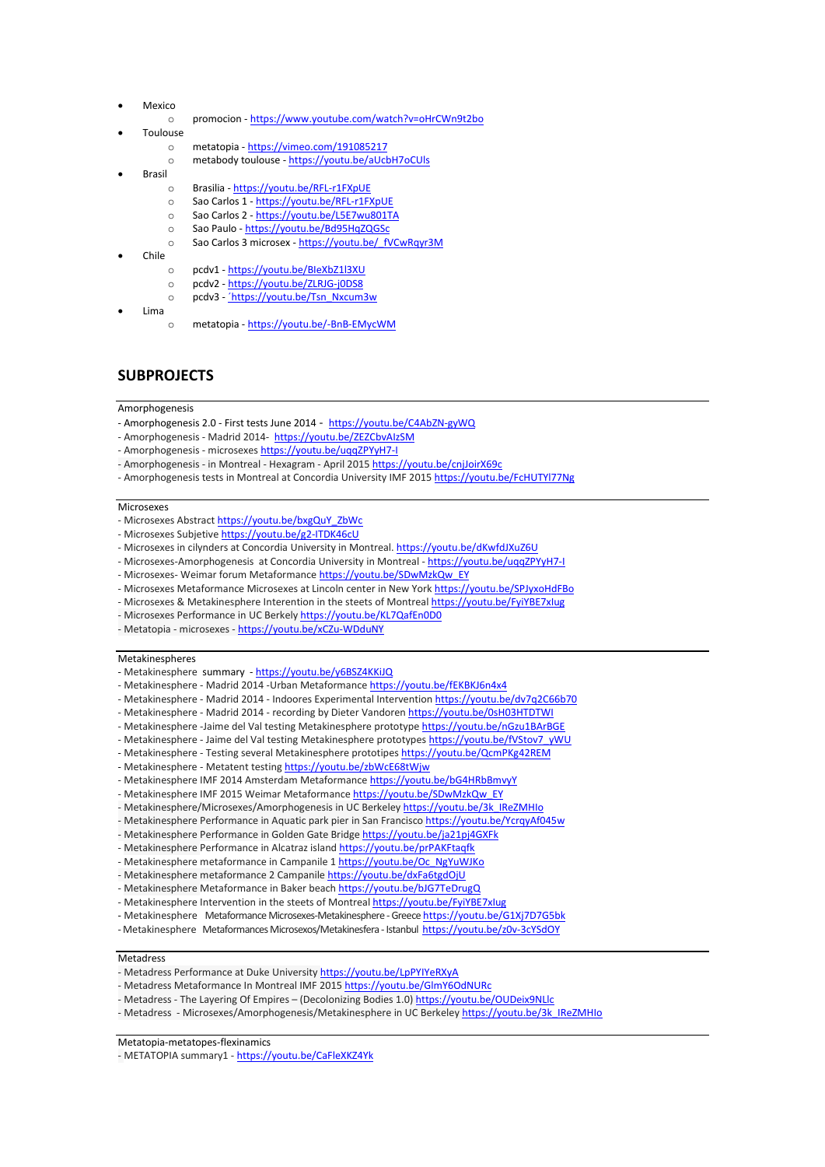- Mexico
	- o promocion <https://www.youtube.com/watch?v=oHrCWn9t2bo>
- Toulouse
	- o metatopia <https://vimeo.com/191085217>
	- o metabody toulouse <https://youtu.be/aUcbH7oCUls>
- Brasil
	- o Brasilia <https://youtu.be/RFL-r1FXpUE>
	- o Sao Carlos 1 <https://youtu.be/RFL-r1FXpUE>
	- o Sao Carlos 2 <https://youtu.be/L5E7wu801TA>
	- o Sao Paulo <https://youtu.be/Bd95HqZQGSc>
	- o Sao Carlos 3 microsex [https://youtu.be/\\_fVCwRqyr3M](https://youtu.be/_fVCwRqyr3M)
- Chile
	- o pcdv1 <https://youtu.be/BIeXbZ1l3XU>
	- o pcdv2 <https://youtu.be/ZLRJG-j0DS8>
	- o pcdv3 [´https://youtu.be/Tsn\\_Nxcum3w](�https:/youtu.be/Tsn_Nxcum3w)
- Lima
- o metatopia <https://youtu.be/-BnB-EMycWM>

# **SUBPROJECTS**

## **Amorphogenesis**

- Amorphogenesis 2.0 First tests June 2014 <https://youtu.be/C4AbZN-gyWQ>
- Amorphogenesis Madrid 2014-<https://youtu.be/ZEZCbvAIzSM>
- Amorphogenesis microsexes https://youtu.be/uqqZPYyH7-I
- Amorphogenesis in Montreal Hexagram April 2015 https://youtu.be/cnjJoirX69c
- Amorphogenesis tests in Montreal at Concordia University IMF 2015 https://youtu.be/FcHUTYl77Ng

### **Microsexes**

- Microsexes Abstrac[t https://youtu.be/bxgQuY\\_ZbWc](https://youtu.be/bxgQuY_ZbWc)
- Microsexes Subjetive <https://youtu.be/g2-ITDK46cU>
- Microsexes in cilynders at Concordia University in Montreal. https://youtu.be/dKwfdJXuZ6U
- Microsexes-Amorphogenesis at Concordia University in Montreal https://youtu.be/uqqZPYyH7-I
- Microsexes- Weimar forum Metaformanc[e https://youtu.be/SDwMzkQw\\_EY](https://youtu.be/SDwMzkQw_EY)
- Microsexes Metaformance Microsexes at Lincoln center in New York https://youtu.be/SPJyxoHdFBo
- Microsexes & Metakinesphere Interention in the steets of Montreal https://youtu.be/FyiYBE7xlug
- Microsexes Performance in UC Berkely https://youtu.be/KL7QafEn0D0
- Metatopia microsexes <https://youtu.be/xCZu-WDduNY>

#### Metakinespheres

- Metakinesphere summary <https://youtu.be/y6BSZ4KKiJQ>
- Metakinesphere Madrid 2014 -Urban Metaformanc[e https://youtu.be/fEKBKJ6n4x4](https://youtu.be/fEKBKJ6n4x4)
- Metakinesphere Madrid 2014 Indoores Experimental Interventio[n https://youtu.be/dv7q2C66b70](https://youtu.be/dv7q2C66b70)
- Metakinesphere Madrid 2014 recording by Dieter Vandoren<https://youtu.be/0sH03HTDTWI>
- Metakinesphere -Jaime del Val testing Metakinesphere prototype <https://youtu.be/nGzu1BArBGE>
- Metakinesphere Jaime del Val testing Metakinesphere prototype[s https://youtu.be/fVStov7\\_yWU](https://youtu.be/fVStov7_yWU)
- Metakinesphere [Testing several Metakinesphere prototipes](https://www.youtube.com/watch?v=QcmPKg42REM) <https://youtu.be/QcmPKg42REM>
- Metakinesphere [Metatent testing](https://www.youtube.com/watch?v=zbWcE68tWjw) <https://youtu.be/zbWcE68tWjw>
- Metakinesphere IMF 2014 Amsterdam Metaformanc[e https://youtu.be/bG4HRbBmvyY](https://youtu.be/bG4HRbBmvyY)
- Metakinesphere IMF 2015 Weimar Metaformanc[e https://youtu.be/SDwMzkQw\\_EY](https://youtu.be/SDwMzkQw_EY)
- Metakinesphere/Microsexes/Amorphogenesis in UC Berkeley https://youtu.be/3k\_IReZMHIo
- Metakinesphere Performance in Aquatic park pier in San Francisco https://youtu.be/YcrqyAf045w
- Metakinesphere Performance in Golden Gate Bridge https://youtu.be/ja21pj4GXFk
- Metakinesphere Performance in Alcatraz island https://youtu.be/prPAKFtaqfk
- Metakinesphere metaformance in Campanile 1 https://youtu.be/Oc\_NgYuWJKo
- Metakinesphere metaformance 2 Campanile https://youtu.be/dxFa6tgdOjU
- Metakinesphere Metaformance in Baker beach https://youtu.be/bJG7TeDrugQ
- Metakinesphere Intervention in the steets of Montreal https://youtu.be/FyiYBE7xlug
- Metakinesphere Metaformance [Microsexes-Metakinesphere](https://www.youtube.com/watch?v=G1Xj7D7G5bk) -Greece <https://youtu.be/G1Xj7D7G5bk>
- -Metakinesphere Metaformances Microsexos/Metakinesfera Istanbul<https://youtu.be/z0v-3cYSdOY>

### **Metadress**

- Metadress Performance at Duke University https://youtu.be/LpPYIYeRXyA
- Metadress Metaformance In Montreal IMF 2015 https://youtu.be/GlmY6OdNURc
- Metadress The Layering Of Empires (Decolonizing Bodies 1.0) [https://youtu.be/OUDeix9NLlc](https://youtu.be/OUDeix9NLlc?list=PL4EFdY28HTnresmKGfzzhiFXKVG0FglHN)
- Metadress Microsexes/Amorphogenesis/Metakinesphere in UC Berkeley https://youtu.be/3k\_IReZMHIo

Metatopia-metatopes-flexinamics

- METATOPIA summary1 - <https://youtu.be/CaFleXKZ4Yk>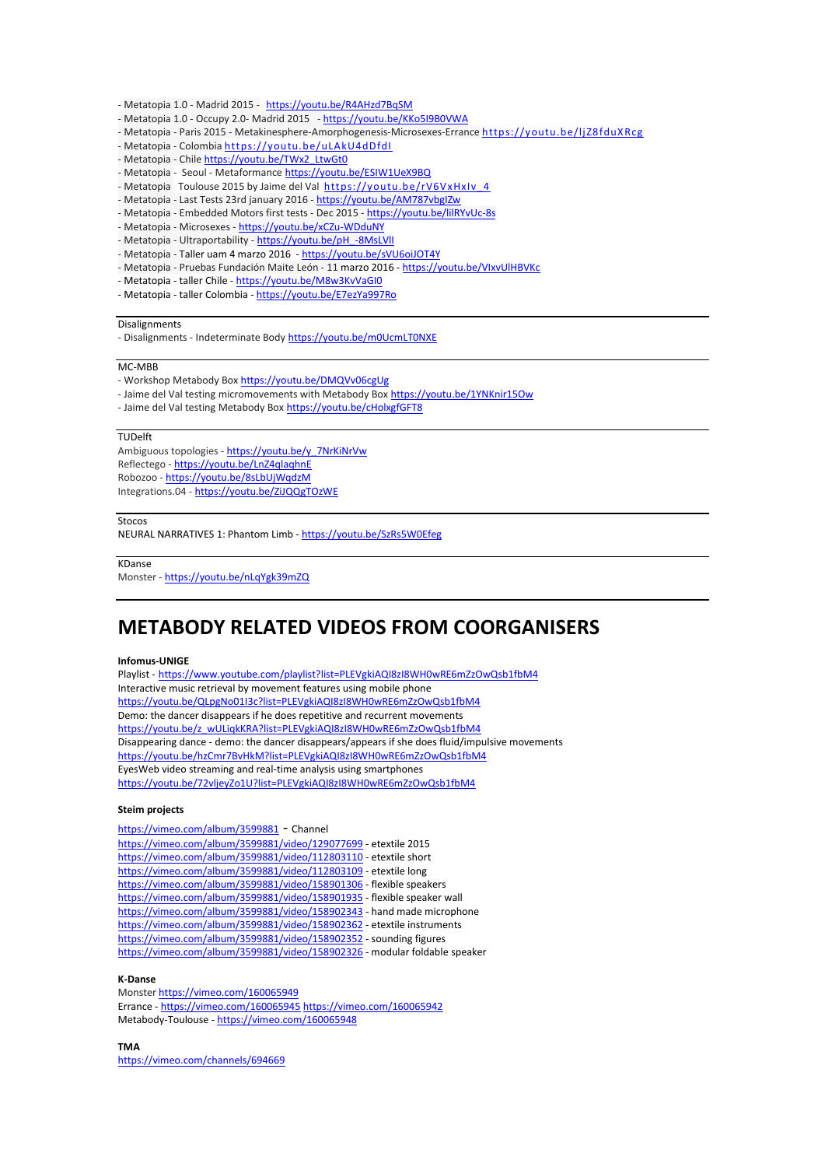- [Metatopia](https://www.youtube.com/watch?v=R4AHzd7BqSM) 1.0 Madrid 2015 <https://youtu.be/R4AHzd7BqSM>
- [Metatopia](https://www.youtube.com/watch?v=KKo5I9B0VWA) 1.0 Occupy 2.0- Madrid 2015 <https://youtu.be/KKo5I9B0VWA>
- Metatopia Paris 2015 [Metakinesphere-Amorphogenesis-Microsexes-Errance](https://www.youtube.com/watch?v=ljZ8fduXRcg) <https://youtu.be/ljZ8fduXRcg>
- Metatopia [Colombia](https://www.youtube.com/watch?v=uLAkU4dDfdI) <https://youtu.be/uLAkU4dDfdI>
- Metatopia [Chile](https://www.youtube.com/watch?v=uLAkU4dDfdI) [https://youtu.be/TWx2\\_LtwGt0](https://youtu.be/TWx2_LtwGt0)
- Metatopia Seoul [Metaformance](https://www.youtube.com/watch?v=ESIW1UeX9BQ) <https://youtu.be/ESIW1UeX9BQ>
- Metatopi[a Toulouse](https://www.youtube.com/watch?v=rV6VxHxIv_4) 2015 by Jaime del Val [https://youtu.be/rV6VxHxIv\\_4](https://youtu.be/rV6VxHxIv_4)
- Metatopia Last Tests 23rd january 2016 https://youtu.be/AM787vbglZw
- Metatopia Embedded Motors first tests Dec 2015 <https://youtu.be/lilRYvUc-8s>
- Metatopia Microsexes <https://youtu.be/xCZu-WDduNY>
- Metatopia Ultraportability https://youtu.be/pH\_-8MsLVII
- Metatopia Taller uam 4 marzo 2016 <https://youtu.be/sVU6oiJOT4Y>
- Metatopia Pruebas Fundación Maite León 11 marzo 2016 <https://youtu.be/VIxvUlHBVKc>
- Metatopia taller Chile <https://youtu.be/M8w3KvVaGI0>
- Metatopia taller Colombia <https://youtu.be/E7ezYa997Ro>

## **Disalignments**

- Disalignments - Indeterminate Body <https://youtu.be/m0UcmLT0NXE>

#### MC-MBB

- Workshop Metabody Box <https://youtu.be/DMQVv06cgUg>
- Jaime del Val testing micromovements with Metabody Box <https://youtu.be/1YNKnir15Ow>
- Jaime del Val testing Metabody Box <https://youtu.be/cHolxgfGFT8>

#### **TUDelft**

Ambiguous topologies - [https://youtu.be/y\\_7NrKiNrVw](https://youtu.be/y_7NrKiNrVw) Reflectego - <https://youtu.be/LnZ4qlaqhnE> Robozoo - <https://youtu.be/8sLbUjWqdzM> Integrations.04 - <https://youtu.be/ZiJQQgTOzWE>

#### Stocos

NEURAL NARRATIVES 1: Phantom Limb - <https://youtu.be/SzRs5W0Efeg>

#### KDanse

Monster - <https://youtu.be/nLqYgk39mZQ>

# **METABODY RELATED VIDEOS FROM COORGANISERS**

#### **Infomus-UNIGE**

Playlist - <https://www.youtube.com/playlist?list=PLEVgkiAQI8zI8WH0wRE6mZzOwQsb1fbM4> Interactive music retrieval by movement features using mobile phone <https://youtu.be/QLpgNo01I3c?list=PLEVgkiAQI8zI8WH0wRE6mZzOwQsb1fbM4> Demo: the dancer disappears if he does repetitive and recurrent movements [https://youtu.be/z\\_wULiqkKRA?list=PLEVgkiAQI8zI8WH0wRE6mZzOwQsb1fbM4](https://youtu.be/z_wULiqkKRA?list=PLEVgkiAQI8zI8WH0wRE6mZzOwQsb1fbM4) Disappearing dance - demo: the dancer disappears/appears if she does fluid/impulsive movements <https://youtu.be/hzCmr7BvHkM?list=PLEVgkiAQI8zI8WH0wRE6mZzOwQsb1fbM4> EyesWeb video streaming and real-time analysis using smartphones <https://youtu.be/72vljeyZo1U?list=PLEVgkiAQI8zI8WH0wRE6mZzOwQsb1fbM4>

#### **Steim projects**

<https://vimeo.com/album/3599881> - Channel

<https://vimeo.com/album/3599881/video/129077699> - etextile 2015 <https://vimeo.com/album/3599881/video/112803110> - etextile short <https://vimeo.com/album/3599881/video/112803109> - etextile long <https://vimeo.com/album/3599881/video/158901306> - flexible speakers <https://vimeo.com/album/3599881/video/158901935> - flexible speaker wall <https://vimeo.com/album/3599881/video/158902343> - hand made microphone <https://vimeo.com/album/3599881/video/158902362> - etextile instruments <https://vimeo.com/album/3599881/video/158902352> - sounding figures <https://vimeo.com/album/3599881/video/158902326> - modular foldable speaker

#### **K-Danse**

Monste[r https://vimeo.com/160065949](https://vimeo.com/160065949) Errance - <https://vimeo.com/160065945> <https://vimeo.com/160065942> Metabody-Toulouse - <https://vimeo.com/160065948>

**TMA**  <https://vimeo.com/channels/694669>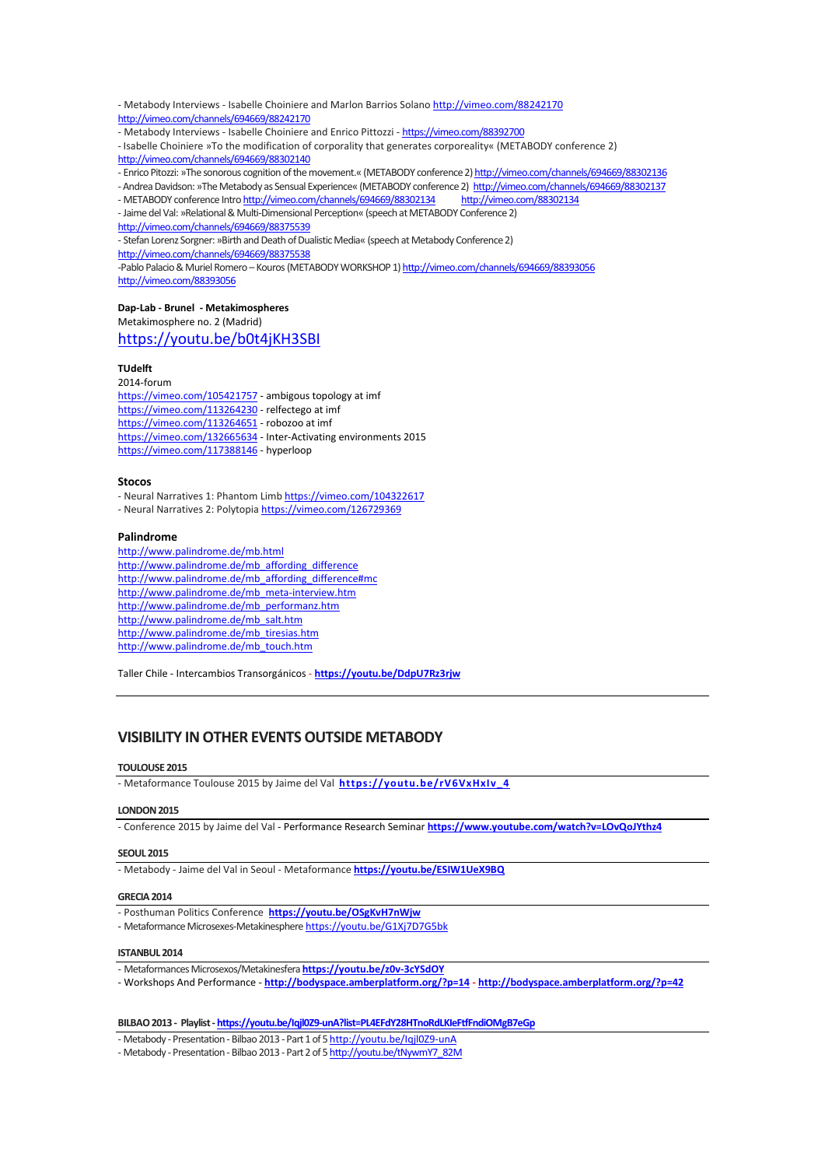- Metabody Interviews - Isabelle Choiniere and Marlon Barrios Solano <http://vimeo.com/88242170> <http://vimeo.com/channels/694669/88242170>

- Metabody Interviews - Isabelle Choiniere and Enrico Pittozzi - <https://vimeo.com/88392700>

- Isabelle Choiniere »To the modification of corporality that generates corporeality« (METABODY conference 2) <http://vimeo.com/channels/694669/88302140>

- Enrico Pitozzi: »The sonorous cognition of the movement.« (METABODY conference 2) http://vimeo.com/channels/694669/88302136

- Andrea Davidson: »The Metabody as Sensual Experience« (METABODY conference 2) <http://vimeo.com/channels/694669/88302137> - METABODY conference Intro http://vimeo.com/channels/694669/88302134 <http://vimeo.com/88302134>

- Jaime del Val: »Relational & Multi-Dimensional Perception« (speech at METABODY Conference 2)

<http://vimeo.com/channels/694669/88375539>

- Stefan Lorenz Sorgner: »Birth and Death of Dualistic Media« (speech at Metabody Conference 2) <http://vimeo.com/channels/694669/88375538>

-Pablo Palacio & Muriel Romero - Kouros (METABODY WORKSHOP 1) http://vimeo.com/channels/694669/88393056 <http://vimeo.com/88393056>

### **Dap-Lab - Brunel - Metakimospheres**

Metakimosphere no. 2 (Madrid)

## <https://youtu.be/b0t4jKH3SBI>

## **TUdelft**

2014-forum <https://vimeo.com/105421757> - ambigous topology at imf <https://vimeo.com/113264230> - relfectego at imf <https://vimeo.com/113264651> - robozoo at imf <https://vimeo.com/132665634> - Inter-Activating environments 2015 <https://vimeo.com/117388146> - hyperloop

#### **Stocos**

- Neural Narratives 1: Phantom Lim[b https://vimeo.com/104322617](https://vimeo.com/104322617) - Neural Narratives 2: Polytopia<https://vimeo.com/126729369>

#### **Palindrome**

<http://www.palindrome.de/mb.html> [http://www.palindrome.de/mb\\_affording\\_difference](http://www.palindrome.de/mb_affording_difference) [http://www.palindrome.de/mb\\_affording\\_difference#mc](http://www.palindrome.de/mb_affording_difference%23mc) [http://www.palindrome.de/mb\\_meta-interview.htm](http://www.palindrome.de/mb_meta-interview.htm) [http://www.palindrome.de/mb\\_performanz.htm](http://www.palindrome.de/mb_performanz.htm) [http://www.palindrome.de/mb\\_salt.htm](http://www.palindrome.de/mb_salt.htm) [http://www.palindrome.de/mb\\_tiresias.htm](http://www.palindrome.de/mb_tiresias.htm) [http://www.palindrome.de/mb\\_touch.htm](http://www.palindrome.de/mb_touch.htm)

Taller Chile - Intercambios Transorgánicos - **<https://youtu.be/DdpU7Rz3rjw>**

# **VISIBILITY INOTHER EVENTSOUTSIDE METABODY**

#### **TOULOUSE 2015**

- [Metaformance](https://www.youtube.com/watch?v=rV6VxHxIv_4) Toulouse 2015 by Jaime del Val **[https://youtu.be/rV6VxHxIv\\_4](https://youtu.be/rV6VxHxIv_4)**

#### **LONDON2015**

- [Conference](https://www.youtube.com/watch?v=rV6VxHxIv_4) 2015 by Jaime del Val - Performance Research Seminar **<https://www.youtube.com/watch?v=LOvQoJYthz4>**

### **SEOUL 2015**

- Metabody - Jaime del Val in Seoul - [Metaformance](https://www.youtube.com/watch?v=ESIW1UeX9BQ) **<https://youtu.be/ESIW1UeX9BQ>**

#### **GRECIA 2014**

- Posthuman Politics Conference **https://youtu.be/OSgKvH7nWjw**
- Metaformance Microsexes-Metakinesphere <https://youtu.be/G1Xj7D7G5bk>

#### **ISTANBUL 2014**

- Metaformances Microsexos/Metakinesfera**<https://youtu.be/z0v-3cYSdOY>**
- Workshops And Performance **<http://bodyspace.amberplatform.org/?p=14> - <http://bodyspace.amberplatform.org/?p=42>**

#### **BILBAO2013 - Playlist- <https://youtu.be/Iqjl0Z9-unA?list=PL4EFdY28HTnoRdLKIeFtfFndiOMgB7eGp>**

- Metabody - Presentation - Bilbao 2013 - Part 1 of 5 [http://youtu.be/Iqjl0Z9-unA](http://youtu.be/Iqjl0Z9-unA?list=UU-AvqTgjnqGOeyZkgDuQfng)

- Metabody - Presentation - Bilbao 2013 - Part 2 of 5 [http://youtu.be/tNywmY7\\_82M](http://youtu.be/tNywmY7_82M?list=UU-AvqTgjnqGOeyZkgDuQfng)